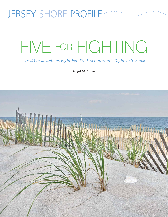# JERSEY SHORE PROFILE ·

# FIVE FOR FIGHTING

*Local Organizations Fight For The Environment's Right To Survive*

*by Jill M. Ocone*

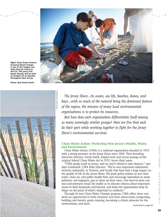

*Right: Clean Ocean Action's bi-annual Beach Sweeps is one of the longest running clean-up events in the U.S. This year's Fall Beach Sweeps will be held on October 25 on beaches throughout New Jersey.*

*Below: Bay Head's beach.*



 *The Jersey Shore…its ocean, sea life, beaches, dunes, and bays…with so much of the natural being the dominant feature of the region, the mission of many local environmental organizations is to protect its resources.* 

 *But how does each organization differentiate itself among so many seemingly similar groups? Here are five that each do their part while working together to fight for the Jersey Shore's environmental survival.*

#### **Clean Water Action: Protecting New Jersey's Health, Water, and Environment**

 Clean Water Action (CWA) is a national organization founded in 1972 with a strong presence at the Jersey Shore since 1982. Their founding Executive Director, David Zwick, helped write and secure passage of the original federal Clean Water Act in 1972, hence their name.

 "CWA speaks truth to power, and we aren't afraid to take chances," says Amy Goldsmith, CWA State Director. "We've won important substantive victories nationally, in Trenton, and locally that have had a huge impact on the quality of life at the Jersey Shore. We push policy makers to put clean water, clean air, and public health first, and encourage lawmakers to make polluters, not taxpayers, pay to clean up their mess. Our door-to-door canvass and extensive email list enable us to educate citizens about important issues in their backyards and beyond, and helps the organization keep its finger on the pulse of what's important to residents."

 Through its new Clean Water Champs program, CWA offers shore residents an opportunity to both volunteer and learn about home composting, building rain barrels, green cleaning, becoming a citizen advocate for the environment, and more.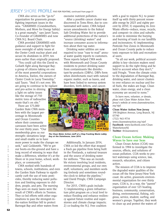### JERSEY SHORE PROFILE *FIVE FOR FIGHTING, continued from page 51*

 CWA also serves as the "go-to" organization for grassroots groups fighting important issues in the area. "GRAMMES (Grandmothers, Mothers, and More for Energy Safety) is a great example," says Janet Tauro, Co-Founder of GRAMMES and now CWA N.J. Board Chair.

 CWA provided GRAMMES with guidance and support to fight for more oversight of safety issues at the Oyster Creek nuclear plant and secure its shutdown in 2019, ten years earlier than originally proposed.

 "You could call this the David vs. Goliath fight along Barnegat Bay; a group of citizens taking on one of the most powerful corporations in America, Exelon, the owners of Oyster Creek in Lacey Township," said Tauro. "And it's not over. We are going to continue to be vigilant

and pro-active in shining a light on safety issues like the storage of 750 metric tons of radioactive waste that's on site."

 There are 175,000 Garden State CWA members with the largest percentage in Monmouth and Ocean Counties where their community canvasses have been active for over thirty years. "Our membership gives us our strength—donations large and small enable us to have

more power to make the changes we seek," said Goldsmith. "We've got our boots-on-the-ground and have a long record of winning in ways that make a difference, whether it's at the Shore or in your home, school, workplace, or community."

 CWA worked with hundreds of towns, schools, institutions, and even the Garden State Parkway to significantly curb the use of toxic pesticides, thereby reducing water pollution and limiting exposure to children, people, and pets. The warning flags seen on many lawns were the result of CWA's efforts in Trenton. They co-led efforts with other organizations to pass the strongest-inthe-nation fertilizer bill to protect Barnegat Bay and other waters from

excessive nutrient pollution.

 After a possible cancer cluster was discovered in Toms River, due to contaminated well water, CWA helped secure amendments to the federal Safe Drinking Water Act to provide additional protections of the nation's "source (drinking) waters" and increase consumer access to information about their tap water.

 Drinking water utilities are now required to issue "easy to read" annual water quality reports to customers. These reports helped CWA work with Monmouth and Ocean County residents to protect drinking water from contaminants like disinfectant-by-products (DBPs). DBPs form when disinfectants react with natural organic matter, such as leaves, and have been linked to nervous system disorders, birth defects, and cancer.



*The Clean Water Action staff at a Stop Fracking Waste Lobby Day at the Statehouse, June 2014.*

 Additionally, In January 2014, CWA co-led the effort that stopped a frack gas pipeline from being built in the Pinelands, a national treasure and the source of drinking water for millions. "This was an incredible victory involving local residents, environmental groups, and our own staff, volunteers, and members working tirelessly and sometimes roundthe-clock to defeat the pipeline," said David Pringle, CWA Campaign Director.

 For 2015, CWA's goals include: 1) implementing a green infrastructure pilot program on a local level to reduce flooding and enhance resiliency against future routine and superstorms and climate change impacts; 2) co-leading the N.J. Free coalition

with a goal to require N.J. to power itself up with thirty percent renewable energy by 2025 and eighty percent by 2050; 3) expanding its Zero Waste efforts—reduce, reuse, recycle, and compost—in cities and suburbs in order to minimize the burying and burning of trash in our landfills and incinerators; 4) implementing Pesticide Free Zones in Monmouth and Ocean County parks to reduce toxic exposure to kids and recreational users.

 "In all our work, political accountability is key—decision makers need support to do the right thing and be held to account when they don't," said Pringle. "From the climate crisis to the degradation of Barnegat Bay, drinking water, and cancer clusters to over reliance on nuclear and fossil fuels, the stakes are huge. Clean water, clean energy, and a clean economy are second to none."

 *To learn more, volunteer, or donate, please visit Clean Water Action New Jersey's website at www.cleanwateraction. org/njef.*

#### **Clean Water Action New Jersey**

198 Brighton Avenue, Long Branch, NJ 07740 (732) 963-9714 www.cleanwateraction.org/njef **Facebook**: www.facebook.com/Clean WaterActionNJ **Twitter**: @cleanwaternj

#### **Clean Ocean Action: Making Waves to Save our Seas**

 Clean Ocean Action (COA) was formed in 1984 to investigate the sources, effects, and solutions of ocean pollution. COA works to protect waterways using science, law, research, education, and citizen action.

 The mission of COA is to improve the degraded water qualities of the ocean off the New Jersey/New York coast. An active, grassroots environmental organization for over thirty years, COA is, in a way, the "parent" organization of over 125 boating, business, community, conservation, diving, environmental, fishing, religious, service, student, surfing, and women's groups. Together, they work to clean up and protect the waters of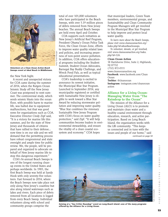

*Volunteers at a Clean Ocean Action Beach Sweeps event at Ideal Beach in Middletown.*

the New York bight.

 A recent and unexpected victory for COA came during the summer of 2014, when the Rutgers Ocean Seismic Study off the New Jersey Coast was postponed to next summer. The controversial study, which sends seismic blasts into the ocean floor, with possible harm to marine life, was halted due to equipment malfunctions, but that was good news for organizations such as COA. Executive Director Cindy Zipf said, "It is a victory for marine life this summer, and for the state of New Jersey and thousands of citizens that have rallied to their defense… now time is on our side and we will demand that the permitting process have robust congressional and state oversight and ample time for public review. We, the people, will be prepared and organized to advocate on behalf of New Jersey marine life to stop this dangerous experiment."

 COA's bi-annual Beach Sweeps is one of the longest running cleanup events in the United States and perhaps worldwide. In 1985, the first Beach Sweep was held at Sandy Hook with only seventy-five volunteers. Fast forward to 2014, where the Beach Sweeps now take place not only along New Jersey's coastline but also along inland waterways such as lakes and rivers. Each piece of debris removed from all locations is logged from every Beach Sweep. Individual volunteers along with school and community groups comprise the

total of over 101,000 volunteers who have participated in the Beach Sweeps, with over 5.19 million pieces of debris removed from New Jersey beaches. The annual Beach Sweeps are held every April and October.

 COA supports such initiatives as New Jersey's Artificial Reef Program, President Obama's Ocean Policy Task Force, the Clean Ocean Zone, efforts to improve water quality related laws and policies, and increasing awareness of non-point source pollution. In addition, COA offers educational programs including the Student Summit, Student Ocean Advocates, Barnegat Bay Buddy Challenge, and Wreck Pond Pals, as well as topical educational presentations.

 COA's leadership is excited to announce its newest initiative, the Municipal Blue Star Program. Launched in September 2014, any municipality registered or certified with Sustainable New Jersey is eligible to work toward a Blue Star Award by reducing stormwater pollution and improving water quality. "Blue Star combines the visionary Sustainable New Jersey Program with COA's focus on water quality protection," said Zipf. "It will help communities become leaders in environmental stewardship, and ensure the vitality of a clean coastal ecosystem and economy." COA hopes

that municipal leaders, Green Team members, environmental groups, and Sustainability and Clean Community Program Managers will get involved in the Municipal Blue Star Program to help improve and protect local water quality.

 *To learn more about the Beach Sweeps, please visit www.cleanoceanaction.org/ index.php?id=aboutbeachsweeps.* 

 *To volunteer, donate, or get involved, visit www.cleanoceanaction.org/index. php?id=126.*

#### **Clean Ocean Action**

18 Hartshorne Drive, Suite 2, Highlands, NJ 07732 (732) 872-0111 www.cleanoceanaction.org **Facebook**: www.facebook.com/Clean Ocean **Twitter**: @cleanocean **Instagram**: instagram.com/cleanocean action

#### **Alliance for a Living Ocean: Managing Water from "The Raindrop to the Ocean"**

 The mission of the Alliance for a Living Ocean (ALO) is to promote and maintain clean water and a healthy coastal environment through education, research, and active participation. Based on Long Beach Island, the organization works with the LBI community. "This keeps us connected and in tune with the issues and people of our home," said *continued on page 54*



*Seining at a "Sea Critter Roundup" event on Long Beach Island—one of the many programs offered by the Alliance for a Living Ocean.*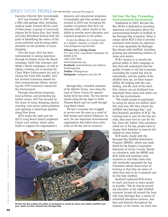## JERSEY SHORE PROFILE *FIVE FOR FIGHTING, continued from page 53*

Executive Director Kyle Gronostajski.

 ALO was founded in 1987 after a fifty-mile garbage slick, including medical waste, loomed off the coast of New Jersey. A group of concerned citizens led by Karen Kiss, Ken Smith, and John Woodland formed with the goals of identifying the source of the ocean pollution and focusing public attention on the problem of ocean dumping.

 Over the years, ALO has been instrumental in raising awareness through its Hands Across the Beach campaign, Earth Day cleanups, and Adopt a Beach campaigns, as well as taking a leading role in passing the Clean Water Enforcement Act and in closing the Fresh Kills landfill. ALO has received numerous awards for their environmental efforts, including the 1999 Governor's Award for the Environment.

 Through educational programs, local activities, and promoting legislative action, ALO has focused on the issues of ocean dumping, plastics recycling, non-source point pollution, and opposing a natural gas pipeline along New Jersey.

 2014 marks the sixth year for ALO's Long Beach Island Longboard Classic surf contest, which raises funds to support the organization's

missions and educational programs. Gronostajski said that another goal reached in 2014 was increasing the number of partners that ALO collaborates with, which results in the ability to provide more education and outreach programs to the public.

 *To join the Alliance for a Living Ocean as a member, volunteer, or donate, visit www.livingocean.org/join.htm.*

**Alliance for a Living Ocean** P.O. Box 2250, Long Beach Township, NJ 08008-2250 (609) 494-7800 www.livingocean.org **Facebook**: www.facebook.com/alliance foralivingocean **Twitter**: @livingocean **Instagram**: instagram.com/alo\_lbi

 *Barnegat Bay, a brackish extension of the Atlantic Ocean, runs along the coast of Ocean County for approximately forty-two miles. The two barrier islands along the bay begin in Point Pleasant Beach and run south through Long Beach Island.* 

 *The bay's ecosystem has struggled to survive over the years as a result of both human and natural influences. As such, the two important environmental organizations that follow focus exclusively on the bay and its resources.*



environmental benefit of shellfish in the Barnegat Bay ecosystem. What is unique about RCB is that it provides volunteers with hands-on experiences to help repopulate the Barnegat Bay estuary with shellfish, including growing and maintaining millions of clams and oysters.

**ReClam The Bay: Promoting Environmental Involvement**

 RCB's mission is to involve the general public in their campaign so that they will understand that the quality of water in the bay ecosystem (including the coastal bay and its watersheds), and the quality of the shellfish they eat, are their responsibility. By helping with the care, feeding, and life cycle of the shellfish, citizens can see firsthand how important these clams and oysters are to the bay environment.

 "We enable people to participate in caring for about one million shellfish each year. We then release the shellfish into Barnegat Bay," said Rick Bushnell, president of RCB. "By learning how to care for the tiny animals, they learn how to care for the bay. Since the 'babies' that volunteers raised are in the bay, people want to change their behavior to improve the habitat for their babies."

 RCB works closely with the Barnegat Bay Shellfish Restoration Program (BBSRP), which was established by the Rutgers Cooperative Extension of Ocean County. Handson volunteers, with the BBSRP and RCB, build and maintain clam nurseries to rear baby clams that will eventually repopulate the bay. Volunteers attend many hours of training so that they are aware of what they need to do to properly care for the baby shellfish.

 Bushnell explained RCB strives to reach and teach as many people as possible. "We do that by providing education at the eight shellfish nurseries located all around the forty mile long Barnegat Bay, a variety of scheduled educations sessions, and fairs and festivals throughout the sum the Bay enables the public to participate in caring for about one million shellfish each **reach into a summer.** In the winter, we reach into vear, which are then released into Barnegat Bay.

Wes Dalzell



Jersey shore • FALL/HOLIDAY 2014

 $\overline{\phantom{a}}$  $\overline{u}$ 

SHOR

JERSEY

**FALL/HOLIDAY** 

 $2014$